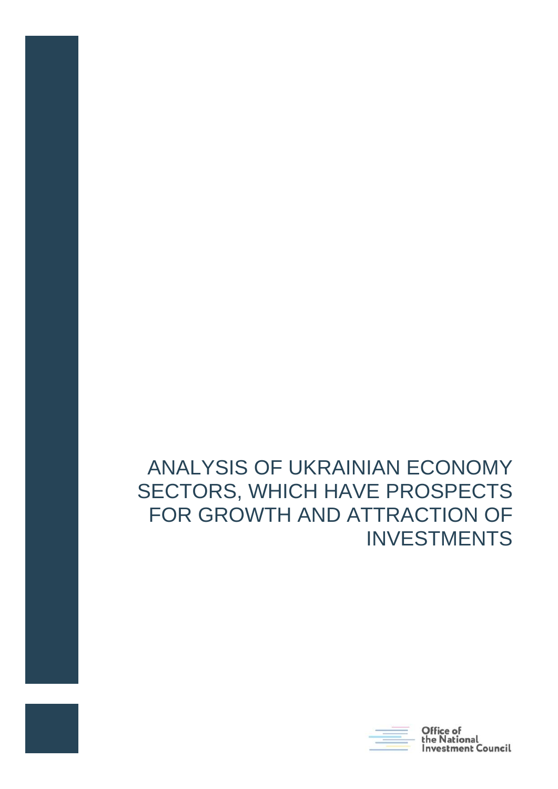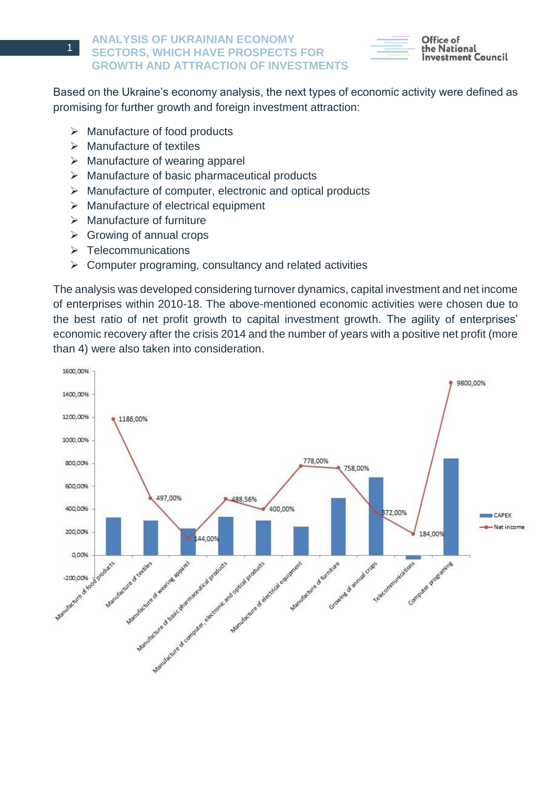

Office of the National estment Council

Based on the Ukraine's economy analysis, the next types of economic activity were defined as promising for further growth and foreign investment attraction:

- $\triangleright$  Manufacture of food products
- $\triangleright$  Manufacture of textiles
- $\triangleright$  Manufacture of wearing apparel
- $\triangleright$  Manufacture of basic pharmaceutical products
- $\triangleright$  Manufacture of computer, electronic and optical products
- $\triangleright$  Manufacture of electrical equipment
- $\triangleright$  Manufacture of furniture
- $\triangleright$  Growing of annual crops
- $\triangleright$  Telecommunications
- $\triangleright$  Computer programing, consultancy and related activities

The analysis was developed considering turnover dynamics, capital investment and net income of enterprises within 2010-18. The above-mentioned economic activities were chosen due to the best ratio of net profit growth to capital investment growth. The agility of enterprises' economic recovery after the crisis 2014 and the number of years with a positive net profit (more than 4) were also taken into consideration.

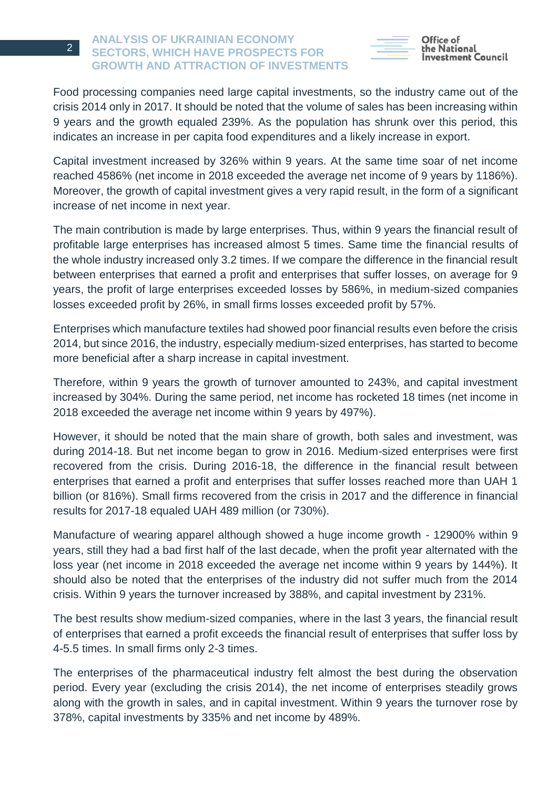

Office of he National: estment Council

Food processing companies need large capital investments, so the industry came out of the crisis 2014 only in 2017. It should be noted that the volume of sales has been increasing within 9 years and the growth equaled 239%. As the population has shrunk over this period, this indicates an increase in per capita food expenditures and a likely increase in export.

Capital investment increased by 326% within 9 years. At the same time soar of net income reached 4586% (net income in 2018 exceeded the average net income of 9 years by 1186%). Moreover, the growth of capital investment gives a very rapid result, in the form of a significant increase of net income in next year.

The main contribution is made by large enterprises. Thus, within 9 years the financial result of profitable large enterprises has increased almost 5 times. Same time the financial results of the whole industry increased only 3.2 times. If we compare the difference in the financial result between enterprises that earned a profit and enterprises that suffer losses, on average for 9 years, the profit of large enterprises exceeded losses by 586%, in medium-sized companies losses exceeded profit by 26%, in small firms losses exceeded profit by 57%.

Enterprises which manufacture textiles had showed poor financial results even before the crisis 2014, but since 2016, the industry, especially medium-sized enterprises, has started to become more beneficial after a sharp increase in capital investment.

Therefore, within 9 years the growth of turnover amounted to 243%, and capital investment increased by 304%. During the same period, net income has rocketed 18 times (net income in 2018 exceeded the average net income within 9 years by 497%).

However, it should be noted that the main share of growth, both sales and investment, was during 2014-18. But net income began to grow in 2016. Medium-sized enterprises were first recovered from the crisis. During 2016-18, the difference in the financial result between enterprises that earned a profit and enterprises that suffer losses reached more than UAH 1 billion (or 816%). Small firms recovered from the crisis in 2017 and the difference in financial results for 2017-18 equaled UAH 489 million (or 730%).

Manufacture of wearing apparel although showed a huge income growth - 12900% within 9 years, still they had a bad first half of the last decade, when the profit year alternated with the loss year (net income in 2018 exceeded the average net income within 9 years by 144%). It should also be noted that the enterprises of the industry did not suffer much from the 2014 crisis. Within 9 years the turnover increased by 388%, and capital investment by 231%.

The best results show medium-sized companies, where in the last 3 years, the financial result of enterprises that earned a profit exceeds the financial result of enterprises that suffer loss by 4-5.5 times. In small firms only 2-3 times.

The enterprises of the pharmaceutical industry felt almost the best during the observation period. Every year (excluding the crisis 2014), the net income of enterprises steadily grows along with the growth in sales, and in capital investment. Within 9 years the turnover rose by 378%, capital investments by 335% and net income by 489%.

2